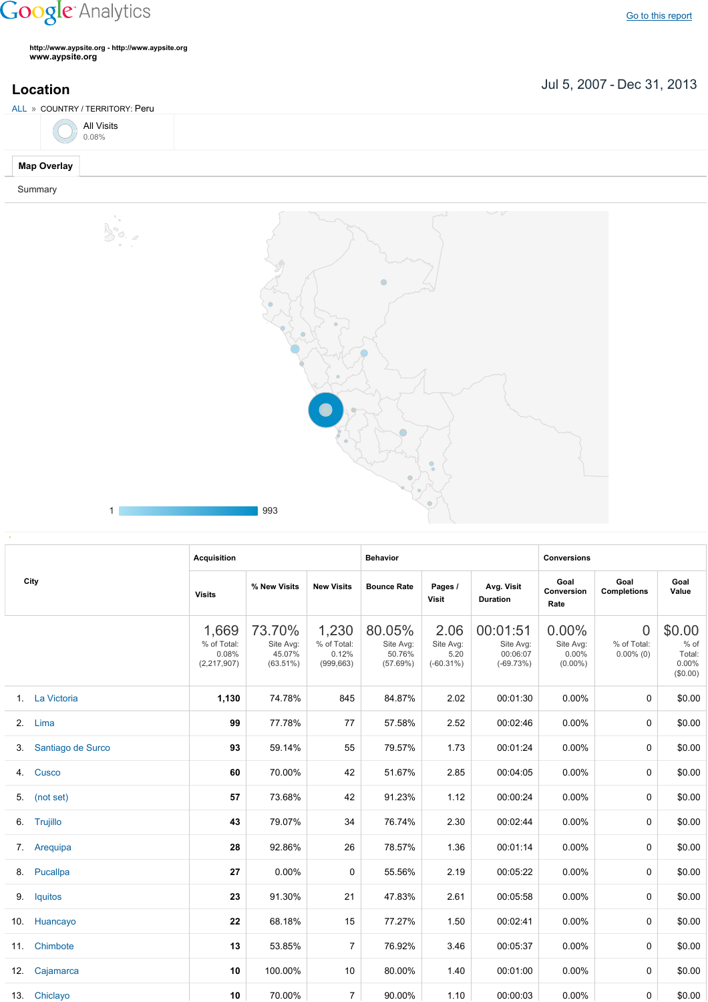## **Google** Analytics

**http://www.aypsite.org http://www.aypsite.org www.aypsite.org**

Bo.

**Location** Jul 5, 2007 - Dec 31, 2013

| ALL » COUNTRY / TERRITORY: Peru |  |
|---------------------------------|--|
| All Visits<br>0.08%             |  |
| <b>Map Overlay</b>              |  |

Summary



|  | nnn<br>- - |
|--|------------|
|  |            |

|                      | <b>Acquisition</b>                             |                                              |                                             |                                           |                                           |                                                  | <b>Conversions</b>                              |                                               |                                                  |
|----------------------|------------------------------------------------|----------------------------------------------|---------------------------------------------|-------------------------------------------|-------------------------------------------|--------------------------------------------------|-------------------------------------------------|-----------------------------------------------|--------------------------------------------------|
| City                 | <b>Visits</b>                                  | % New Visits                                 | <b>New Visits</b>                           | <b>Bounce Rate</b>                        | Pages /<br>Visit                          | Avg. Visit<br><b>Duration</b>                    | Goal<br>Conversion<br>Rate                      | Goal<br><b>Completions</b>                    | Goal<br>Value                                    |
|                      | 1,669<br>% of Total:<br>0.08%<br>(2, 217, 907) | 73.70%<br>Site Avg:<br>45.07%<br>$(63.51\%)$ | 1,230<br>% of Total:<br>0.12%<br>(999, 663) | 80.05%<br>Site Avg:<br>50.76%<br>(57.69%) | 2.06<br>Site Avg:<br>5.20<br>$(-60.31\%)$ | 00:01:51<br>Site Avg:<br>00:06:07<br>$(-69.73%)$ | $0.00\%$<br>Site Avg:<br>$0.00\%$<br>$(0.00\%)$ | $\overline{0}$<br>% of Total:<br>$0.00\%$ (0) | \$0.00<br>% of<br>Total:<br>$0.00\%$<br>(\$0.00) |
| 1. La Victoria       | 1,130                                          | 74.78%                                       | 845                                         | 84.87%                                    | 2.02                                      | 00:01:30                                         | 0.00%                                           | $\Omega$                                      | \$0.00                                           |
| 2. Lima              | 99                                             | 77.78%                                       | 77                                          | 57.58%                                    | 2.52                                      | 00:02:46                                         | $0.00\%$                                        | 0                                             | \$0.00                                           |
| 3. Santiago de Surco | 93                                             | 59.14%                                       | 55                                          | 79.57%                                    | 1.73                                      | 00:01:24                                         | $0.00\%$                                        | 0                                             | \$0.00                                           |
| 4. Cusco             | 60                                             | 70.00%                                       | 42                                          | 51.67%                                    | 2.85                                      | 00:04:05                                         | $0.00\%$                                        | 0                                             | \$0.00                                           |
| 5. (not set)         | 57                                             | 73.68%                                       | 42                                          | 91.23%                                    | 1.12                                      | 00:00:24                                         | $0.00\%$                                        | 0                                             | \$0.00                                           |
| 6. Trujillo          | 43                                             | 79.07%                                       | 34                                          | 76.74%                                    | 2.30                                      | 00:02:44                                         | 0.00%                                           | 0                                             | \$0.00                                           |
| 7. Arequipa          | 28                                             | 92.86%                                       | 26                                          | 78.57%                                    | 1.36                                      | 00:01:14                                         | 0.00%                                           | 0                                             | \$0.00                                           |
| 8. Pucallpa          | 27                                             | 0.00%                                        | 0                                           | 55.56%                                    | 2.19                                      | 00:05:22                                         | $0.00\%$                                        | 0                                             | \$0.00                                           |
| 9. Iquitos           | 23                                             | 91.30%                                       | 21                                          | 47.83%                                    | 2.61                                      | 00:05:58                                         | $0.00\%$                                        | 0                                             | \$0.00                                           |
| 10. Huancayo         | 22                                             | 68.18%                                       | 15                                          | 77.27%                                    | 1.50                                      | 00:02:41                                         | $0.00\%$                                        | 0                                             | \$0.00                                           |
| 11. Chimbote         | 13                                             | 53.85%                                       | $\overline{7}$                              | 76.92%                                    | 3.46                                      | 00:05:37                                         | $0.00\%$                                        | 0                                             | \$0.00                                           |
| 12. Cajamarca        | 10                                             | 100.00%                                      | 10                                          | 80.00%                                    | 1.40                                      | 00:01:00                                         | $0.00\%$                                        | 0                                             | \$0.00                                           |
| 13. Chiclayo         | 10                                             | 70.00%                                       | $\overline{7}$                              | 90.00%                                    | 1.10                                      | 00:00:03                                         | $0.00\%$                                        | 0                                             | \$0.00                                           |